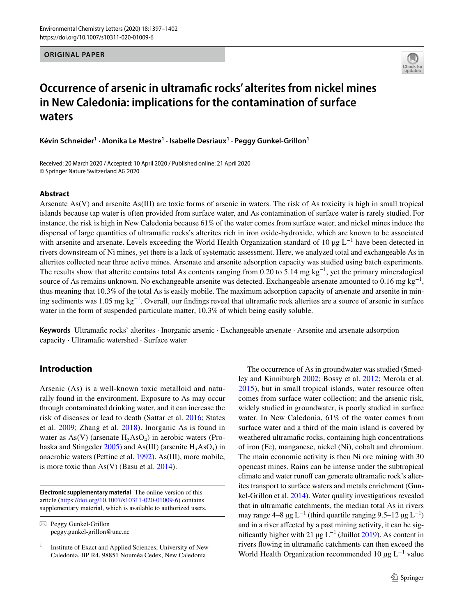**ORIGINAL PAPER**



# **Occurrence of arsenic in ultramafc rocks' alterites from nickel mines in New Caledonia: implications for the contamination of surface waters**

**Kévin Schneider1 · Monika Le Mestre<sup>1</sup> · Isabelle Desriaux1 · Peggy Gunkel‑Grillon1**

Received: 20 March 2020 / Accepted: 10 April 2020 / Published online: 21 April 2020 © Springer Nature Switzerland AG 2020

#### **Abstract**

Arsenate  $As(V)$  and arsenite  $As(III)$  are toxic forms of arsenic in waters. The risk of As toxicity is high in small tropical islands because tap water is often provided from surface water, and As contamination of surface water is rarely studied. For instance, the risk is high in New Caledonia because 61% of the water comes from surface water, and nickel mines induce the dispersal of large quantities of ultramafc rocks's alterites rich in iron oxide-hydroxide, which are known to be associated with arsenite and arsenate. Levels exceeding the World Health Organization standard of 10 μg L<sup>-1</sup> have been detected in rivers downstream of Ni mines, yet there is a lack of systematic assessment. Here, we analyzed total and exchangeable As in alterites collected near three active mines. Arsenate and arsenite adsorption capacity was studied using batch experiments. The results show that alterite contains total As contents ranging from 0.20 to 5.14 mg kg<sup>-1</sup>, yet the primary mineralogical source of As remains unknown. No exchangeable arsenite was detected. Exchangeable arsenate amounted to  $0.16$  mg kg<sup>-1</sup>, thus meaning that 10.3% of the total As is easily mobile. The maximum adsorption capacity of arsenate and arsenite in mining sediments was 1.05 mg kg<sup>-1</sup>. Overall, our findings reveal that ultramafic rock alterites are a source of arsenic in surface water in the form of suspended particulate matter, 10.3% of which being easily soluble.

Keywords Ultramafic rocks' alterites · Inorganic arsenic · Exchangeable arsenate · Arsenite and arsenate adsorption capacity · Ultramafc watershed · Surface water

## **Introduction**

Arsenic (As) is a well-known toxic metalloid and naturally found in the environment. Exposure to As may occur through contaminated drinking water, and it can increase the risk of diseases or lead to death (Sattar et al. [2016;](#page-5-0) States et al. [2009;](#page-5-1) Zhang et al. [2018\)](#page-5-2). Inorganic As is found in water as  $As(V)$  (arsenate  $H_3AsO_4$ ) in aerobic waters (Prohaska and Stingeder  $2005$ ) and As(III) (arsenite  $H_3AsO_3$ ) in anaerobic waters (Pettine et al. [1992](#page-5-4)). As(III), more mobile, is more toxic than  $As(V)$  (Basu et al. [2014\)](#page-5-5).

**Electronic supplementary material** The online version of this article [\(https://doi.org/10.1007/s10311-020-01009-6\)](https://doi.org/10.1007/s10311-020-01009-6) contains supplementary material, which is available to authorized users.

 $\boxtimes$  Peggy Gunkel-Grillon peggy.gunkel-grillon@unc.nc

The occurrence of As in groundwater was studied (Smedley and Kinniburgh [2002](#page-5-6); Bossy et al. [2012](#page-5-7); Merola et al. [2015\)](#page-5-8), but in small tropical islands, water resource often comes from surface water collection; and the arsenic risk, widely studied in groundwater, is poorly studied in surface water. In New Caledonia, 61% of the water comes from surface water and a third of the main island is covered by weathered ultramafic rocks, containing high concentrations of iron (Fe), manganese, nickel (Ni), cobalt and chromium. The main economic activity is then Ni ore mining with 30 opencast mines. Rains can be intense under the subtropical climate and water runoff can generate ultramafic rock's alterites transport to surface waters and metals enrichment (Gunkel-Grillon et al. [2014\)](#page-5-9). Water quality investigations revealed that in ultramafc catchments, the median total As in rivers may range  $4-8 \mu g L^{-1}$  (third quartile ranging  $9.5-12 \mu g L^{-1}$ ) and in a river affected by a past mining activity, it can be significantly higher with 21 µg  $L^{-1}$  (Juillot [2019\)](#page-5-10). As content in rivers fowing in ultramafc catchments can then exceed the World Health Organization recommended 10  $\mu$ g L<sup>-1</sup> value

 $1$  Institute of Exact and Applied Sciences, University of New Caledonia, BP R4, 98851 Nouméa Cedex, New Caledonia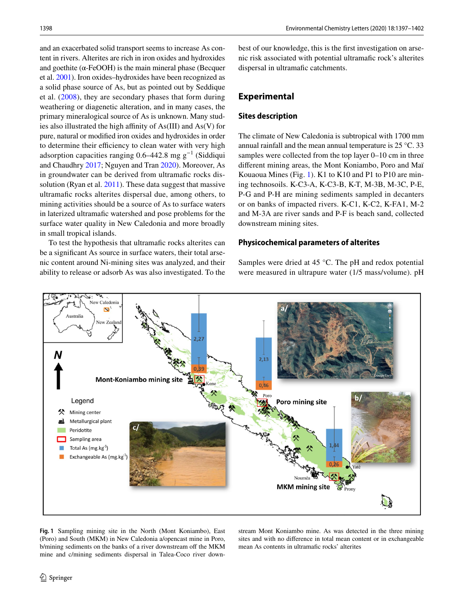and an exacerbated solid transport seems to increase As content in rivers. Alterites are rich in iron oxides and hydroxides and goethite ( $\alpha$ -FeOOH) is the main mineral phase (Becquer et al. [2001\)](#page-5-11). Iron oxides–hydroxides have been recognized as a solid phase source of As, but as pointed out by Seddique et al. [\(2008\)](#page-5-12), they are secondary phases that form during weathering or diagenetic alteration, and in many cases, the primary mineralogical source of As is unknown. Many studies also illustrated the high affinity of  $As(III)$  and  $As(V)$  for pure, natural or modifed iron oxides and hydroxides in order to determine their efficiency to clean water with very high adsorption capacities ranging 0.6–442.8 mg  $g^{-1}$  (Siddiqui and Chaudhry [2017;](#page-5-13) Nguyen and Tran [2020](#page-5-14)). Moreover, As in groundwater can be derived from ultramafic rocks dis-solution (Ryan et al. [2011\)](#page-5-15). These data suggest that massive ultramafc rocks alterites dispersal due, among others, to mining activities should be a source of As to surface waters in laterized ultramafc watershed and pose problems for the surface water quality in New Caledonia and more broadly in small tropical islands.

To test the hypothesis that ultramafic rocks alterites can be a signifcant As source in surface waters, their total arsenic content around Ni-mining sites was analyzed, and their ability to release or adsorb As was also investigated. To the best of our knowledge, this is the frst investigation on arsenic risk associated with potential ultramafc rock's alterites dispersal in ultramafic catchments.

## **Experimental**

#### **Sites description**

The climate of New Caledonia is subtropical with 1700 mm annual rainfall and the mean annual temperature is 25 °C. 33 samples were collected from the top layer 0–10 cm in three diferent mining areas, the Mont Koniambo, Poro and Maï Kouaoua Mines (Fig. [1](#page-1-0)). K1 to K10 and P1 to P10 are mining technosoils. K-C3-A, K-C3-B, K-T, M-3B, M-3C, P-E, P-G and P-H are mining sediments sampled in decanters or on banks of impacted rivers. K-C1, K-C2, K-FA1, M-2 and M-3A are river sands and P-F is beach sand, collected downstream mining sites.

## **Physicochemical parameters of alterites**

Samples were dried at 45 °C. The pH and redox potential were measured in ultrapure water (1/5 mass/volume). pH



<span id="page-1-0"></span>**Fig. 1** Sampling mining site in the North (Mont Koniambo), East (Poro) and South (MKM) in New Caledonia a/opencast mine in Poro, b/mining sediments on the banks of a river downstream off the MKM mine and c/mining sediments dispersal in Talea-Coco river downstream Mont Koniambo mine. As was detected in the three mining sites and with no diference in total mean content or in exchangeable mean As contents in ultramafic rocks' alterites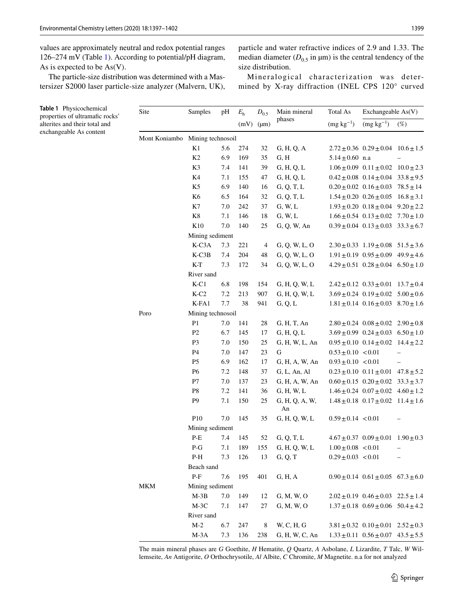<span id="page-2-0"></span>**Table 1** Physicochemical

values are approximately neutral and redox potential ranges 126–274 mV (Table [1\)](#page-2-0). According to potential/pH diagram, As is expected to be As(V).

The particle-size distribution was determined with a Mastersizer S2000 laser particle-size analyzer (Malvern, UK), particle and water refractive indices of 2.9 and 1.33. The median diameter  $(D_{0.5}$  in  $\mu$ m) is the central tendency of the size distribution.

Mineralogical characterization was determined by X-ray diffraction (INEL CPS 120° curved

| <b>Table 1</b> Physicochemical<br>properties of ultramafic rocks'<br>alterites and their total and<br>exchangeable As content | Site | Samples                                         | pH  | $E_{\rm h}$ | $D_{0.5}$<br>$(mV)$ ( $\mu$ m) | Main mineral         | Total As               | Exchangeable As(V)                             |                   |  |  |
|-------------------------------------------------------------------------------------------------------------------------------|------|-------------------------------------------------|-----|-------------|--------------------------------|----------------------|------------------------|------------------------------------------------|-------------------|--|--|
|                                                                                                                               |      |                                                 |     |             |                                | phases               | $(mg kg^{-1})$         | $(mg kg^{-1})$                                 | $(\%)$            |  |  |
|                                                                                                                               |      | Mont Koniambo Mining technosoil                 |     |             |                                |                      |                        |                                                |                   |  |  |
|                                                                                                                               |      | K1                                              | 5.6 | 274         | 32                             | G, H, Q, A           |                        | $2.72 \pm 0.36$ $0.29 \pm 0.04$ $10.6 \pm 1.5$ |                   |  |  |
|                                                                                                                               |      | K2                                              | 6.9 | 169         | 35                             | G, H                 | $5.14 \pm 0.60$ n.a    |                                                |                   |  |  |
|                                                                                                                               |      | K <sub>3</sub>                                  | 7.4 | 141         | 39                             | G, H, Q, L           |                        | $1.06 \pm 0.09$ $0.11 \pm 0.02$ $10.0 \pm 2.3$ |                   |  |  |
|                                                                                                                               |      | K4                                              | 7.1 | 155         | 47                             | G, H, Q, L           |                        | $0.42 \pm 0.08$ $0.14 \pm 0.04$ $33.8 \pm 9.5$ |                   |  |  |
|                                                                                                                               |      | K <sub>5</sub>                                  | 6.9 | 140         | 16                             | G, Q, T, L           |                        | $0.20 \pm 0.02$ $0.16 \pm 0.03$ $78.5 \pm 14$  |                   |  |  |
|                                                                                                                               |      | K <sub>6</sub>                                  | 6.5 | 164         | 32                             | G, Q, T, L           |                        | $1.54 \pm 0.20$ $0.26 \pm 0.05$ $16.8 \pm 3.1$ |                   |  |  |
|                                                                                                                               |      | K7                                              | 7.0 | 242         | 37                             | G, W, L              |                        | $1.93 \pm 0.20$ $0.18 \pm 0.04$ $9.20 \pm 2.2$ |                   |  |  |
|                                                                                                                               |      | K8                                              | 7.1 | 146         | 18                             | G, W, L              |                        | $1.66 \pm 0.54$ $0.13 \pm 0.02$ $7.70 \pm 1.0$ |                   |  |  |
|                                                                                                                               |      | K10                                             | 7.0 | 140         | 25                             | G, Q, W, An          |                        | $0.39 \pm 0.04$ $0.13 \pm 0.03$ $33.3 \pm 6.7$ |                   |  |  |
|                                                                                                                               |      | Mining sediment                                 |     |             |                                |                      |                        |                                                |                   |  |  |
|                                                                                                                               |      | K-C3A                                           | 7.3 | 221         | 4                              | G, Q, W, L, O        |                        | $2.30 \pm 0.33$ $1.19 \pm 0.08$ $51.5 \pm 3.6$ |                   |  |  |
|                                                                                                                               |      | $K-C3B$                                         | 7.4 | 204         | 48                             | G, Q, W, L, O        |                        | $1.91 \pm 0.19$ $0.95 \pm 0.09$ $49.9 \pm 4.6$ |                   |  |  |
|                                                                                                                               |      | $K-T$                                           | 7.3 | 172         | 34                             | G, Q, W, L, O        |                        | $4.29 \pm 0.51$ $0.28 \pm 0.04$ $6.50 \pm 1.0$ |                   |  |  |
|                                                                                                                               |      | River sand                                      |     |             |                                |                      |                        |                                                |                   |  |  |
|                                                                                                                               |      | $K-C1$                                          | 6.8 | 198         | 154                            | G, H, Q, W, L        |                        | $2.42 \pm 0.12$ $0.33 \pm 0.01$ $13.7 \pm 0.4$ |                   |  |  |
|                                                                                                                               |      | $K-C2$                                          | 7.2 | 213         | 907                            | G, H, Q, W, L        |                        | $3.69 \pm 0.24$ $0.19 \pm 0.02$ $5.00 \pm 0.6$ |                   |  |  |
|                                                                                                                               |      | $K$ -FA1                                        | 7.7 | 38          | 941                            | G, Q, L              |                        | $1.81 \pm 0.14$ $0.16 \pm 0.03$ $8.70 \pm 1.6$ |                   |  |  |
|                                                                                                                               | Poro | Mining technosoil                               |     |             |                                |                      |                        |                                                |                   |  |  |
|                                                                                                                               |      | P <sub>1</sub>                                  | 7.0 | 141         | 28                             | G, H, T, An          |                        | $2.80 \pm 0.24$ $0.08 \pm 0.02$ $2.90 \pm 0.8$ |                   |  |  |
|                                                                                                                               |      | P2                                              | 6.7 | 145         | 17                             | G, H, Q, L           |                        | $3.69 \pm 0.99$ $0.24 \pm 0.03$ $6.50 \pm 1.0$ |                   |  |  |
|                                                                                                                               |      | P <sub>3</sub>                                  | 7.0 | 150         | 25                             | G, H, W, L, An       |                        | $0.95 \pm 0.10$ $0.14 \pm 0.02$ $14.4 \pm 2.2$ |                   |  |  |
|                                                                                                                               |      | P4                                              | 7.0 | 147         | 23                             | G                    | $0.53 \pm 0.10$ < 0.01 |                                                |                   |  |  |
|                                                                                                                               |      | P <sub>5</sub>                                  | 6.9 | 162         | 17                             | G, H, A, W, An       | $0.93 \pm 0.10$ < 0.01 |                                                | $\equiv$          |  |  |
|                                                                                                                               |      | P <sub>6</sub>                                  | 7.2 | 148         | 37                             | G, L, An, Al         |                        | $0.23 \pm 0.10$ $0.11 \pm 0.01$ $47.8 \pm 5.2$ |                   |  |  |
|                                                                                                                               |      | P7                                              | 7.0 | 137         | 23                             | G, H, A, W, An       |                        | $0.60 \pm 0.15$ $0.20 \pm 0.02$ $33.3 \pm 3.7$ |                   |  |  |
|                                                                                                                               |      | P8                                              | 7.2 | 141         | 36                             | G, H, W, L           |                        | $1.46 \pm 0.24$ $0.07 \pm 0.02$ $4.60 \pm 1.2$ |                   |  |  |
|                                                                                                                               |      | P <sub>9</sub>                                  | 7.1 | 150         | 25                             | G, H, Q, A, W,<br>An |                        | $1.48 \pm 0.18$ $0.17 \pm 0.02$ $11.4 \pm 1.6$ |                   |  |  |
|                                                                                                                               |      | P10                                             | 7.0 | 145         | 35                             | G, H, Q, W, L        | $0.59 \pm 0.14$ < 0.01 |                                                |                   |  |  |
|                                                                                                                               |      | Mining sediment                                 |     |             |                                |                      |                        |                                                |                   |  |  |
|                                                                                                                               |      | $P-E$                                           | 7.4 | 145         | 52                             | G, Q, T, L           |                        | $4.67 \pm 0.37$ $0.09 \pm 0.01$ $1.90 \pm 0.3$ |                   |  |  |
|                                                                                                                               |      | $P-G$                                           | 7.1 | 189         | 155                            | G, H, Q, W, L        | $1.00 \pm 0.08$ < 0.01 |                                                | $\qquad \qquad -$ |  |  |
|                                                                                                                               |      | $P-H$                                           | 7.3 | 126         | 13                             | G, Q, T              | $0.29\pm0.03~<0.01$    |                                                |                   |  |  |
|                                                                                                                               |      | Beach sand                                      |     |             |                                |                      |                        |                                                |                   |  |  |
|                                                                                                                               |      | $\ensuremath{\mathop{\text{\rm P-F}}\nolimits}$ | 7.6 | 195         | 401                            | G, H, A              |                        | $0.90 \pm 0.14$ $0.61 \pm 0.05$ $67.3 \pm 6.0$ |                   |  |  |
|                                                                                                                               | MKM  | Mining sediment                                 |     |             |                                |                      |                        |                                                |                   |  |  |
|                                                                                                                               |      | $M-3B$                                          | 7.0 | 149         | 12                             | G, M, W, O           |                        | $2.02 \pm 0.19$ $0.46 \pm 0.03$ $22.5 \pm 1.4$ |                   |  |  |
|                                                                                                                               |      | $M-3C$                                          | 7.1 | 147         | 27                             | G, M, W, O           |                        | $1.37 \pm 0.18$ $0.69 \pm 0.06$ $50.4 \pm 4.2$ |                   |  |  |
|                                                                                                                               |      | River sand                                      |     |             |                                |                      |                        |                                                |                   |  |  |
|                                                                                                                               |      | $M-2$                                           | 6.7 | 247         | 8                              | W, C, H, G           |                        | $3.81 \pm 0.32$ $0.10 \pm 0.01$ $2.52 \pm 0.3$ |                   |  |  |
|                                                                                                                               |      | $M-3A$                                          | 7.3 | 136         | 238                            | G, H, W, C, An       |                        | $1.33 \pm 0.11$ $0.56 \pm 0.07$ $43.5 \pm 5.5$ |                   |  |  |

The main mineral phases are *G* Goethite, *H* Hematite, *Q* Quartz, *A* Asbolane, *L* Lizardite, *T* Talc, *W* Willemseite, *An* Antigorite, *O* Orthochrysotile, *Al* Albite, *C* Chromite, *M* Magnetite. n.a for not analyzed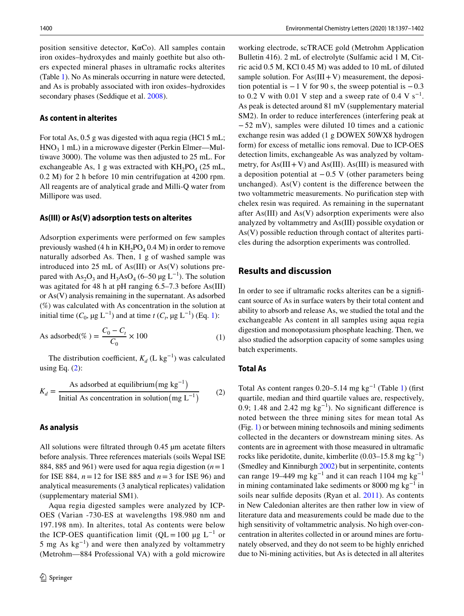position sensitive detector, KαCo). All samples contain iron oxides–hydroxydes and mainly goethite but also others expected mineral phases in ultramafc rocks alterites (Table [1\)](#page-2-0). No As minerals occurring in nature were detected, and As is probably associated with iron oxides–hydroxides secondary phases (Seddique et al. [2008](#page-5-12)).

#### **As content in alterites**

For total As, 0.5 g was digested with aqua regia (HCl 5 mL;  $HNO<sub>3</sub> 1 mL$ ) in a microwave digester (Perkin Elmer—Multiwave 3000). The volume was then adjusted to 25 mL. For exchangeable As, 1 g was extracted with  $KH_2PO_4$  (25 mL, 0.2 M) for 2 h before 10 min centrifugation at 4200 rpm. All reagents are of analytical grade and Milli-Q water from Millipore was used.

#### **As(III) or As(V) adsorption tests on alterites**

Adsorption experiments were performed on few samples previously washed (4 h in  $KH_2PO_4$  0.4 M) in order to remove naturally adsorbed As. Then, 1 g of washed sample was introduced into 25 mL of As(III) or As(V) solutions prepared with As<sub>2</sub>O<sub>3</sub> and H<sub>3</sub>AsO<sub>4</sub> (6–50 µg L<sup>-1</sup>). The solution was agitated for 48 h at pH ranging 6.5–7.3 before As(III) or As(V) analysis remaining in the supernatant. As adsorbed (%) was calculated with As concentration in the solution at initial time ( $C_0$ ,  $\mu$ g L<sup>-1</sup>) and at time *t* ( $C_t$ ,  $\mu$ g L<sup>-1</sup>) (Eq. [1\)](#page-3-0):

As adsorbed(
$$
\% = \frac{C_0 - C_t}{C_0} \times 100
$$
 (1)

The distribution coefficient,  $K_d$  (L kg<sup>-1</sup>) was calculated using Eq.  $(2)$  $(2)$ :

$$
K_d = \frac{\text{As adsorbed at equilibrium (mg kg}^{-1})}{\text{Initial As concentration in solution (mg L}^{-1})}
$$
 (2)

#### **As analysis**

All solutions were filtrated through 0.45 µm acetate filters before analysis. Three references materials (soils Wepal ISE 884, 885 and 961) were used for aqua regia digestion (*n*=1 for ISE 884, *n*=12 for ISE 885 and *n*=3 for ISE 96) and analytical measurements (3 analytical replicates) validation (supplementary material SM1).

Aqua regia digested samples were analyzed by ICP-OES (Varian -730-ES at wavelengths 198.980 nm and 197.198 nm). In alterites, total As contents were below the ICP-OES quantification limit (QL = 100 µg  $L^{-1}$  or 5 mg As  $kg^{-1}$ ) and were then analyzed by voltammetry (Metrohm—884 Professional VA) with a gold microwire

working electrode, scTRACE gold (Metrohm Application Bulletin 416). 2 mL of electrolyte (Sulfamic acid 1 M, Citric acid 0.5 M, KCl 0.45 M) was added to 10 mL of diluted sample solution. For  $As(III + V)$  measurement, the deposition potential is  $-1$  V for 90 s, the sweep potential is  $-0.3$ to 0.2 V with 0.01 V step and a sweep rate of 0.4 V s<sup>-1</sup>. As peak is detected around 81 mV (supplementary material SM2). In order to reduce interferences (interfering peak at −52 mV), samples were diluted 10 times and a cationic exchange resin was added (1 g DOWEX 50WX8 hydrogen form) for excess of metallic ions removal. Due to ICP-OES detection limits, exchangeable As was analyzed by voltammetry, for  $As(III + V)$  and  $As(III)$ . As(III) is measured with a deposition potential at  $-0.5$  V (other parameters being unchanged).  $As(V)$  content is the difference between the two voltammetric measurements. No purifcation step with chelex resin was required. As remaining in the supernatant after As(III) and As(V) adsorption experiments were also analyzed by voltammetry and As(III) possible oxydation or As(V) possible reduction through contact of alterites particles during the adsorption experiments was controlled.

#### **Results and discussion**

In order to see if ultramafic rocks alterites can be a significant source of As in surface waters by their total content and ability to absorb and release As, we studied the total and the exchangeable As content in all samples using aqua regia digestion and monopotassium phosphate leaching. Then, we also studied the adsorption capacity of some samples using batch experiments.

#### <span id="page-3-0"></span>**Total As**

<span id="page-3-1"></span>Total As content ranges 0.20–5.14 mg kg−1 (Table [1](#page-2-0)) (frst quartile, median and third quartile values are, respectively, 0.9; 1.48 and 2.42 mg  $kg^{-1}$ ). No significant difference is noted between the three mining sites for mean total As (Fig. [1\)](#page-1-0) or between mining technosoils and mining sediments collected in the decanters or downstream mining sites. As contents are in agreement with those measured in ultramafc rocks like peridotite, dunite, kimberlite  $(0.03-15.8 \text{ mg kg}^{-1})$ (Smedley and Kinniburgh [2002](#page-5-6)) but in serpentinite, contents can range 19–449 mg kg−1 and it can reach 1104 mg kg−1 in mining contaminated lake sediments or 8000 mg kg<sup>-1</sup> in soils near sulfde deposits (Ryan et al. [2011\)](#page-5-15). As contents in New Caledonian alterites are then rather low in view of literature data and measurements could be made due to the high sensitivity of voltammetric analysis. No high over-concentration in alterites collected in or around mines are fortunately observed, and they do not seem to be highly enriched due to Ni-mining activities, but As is detected in all alterites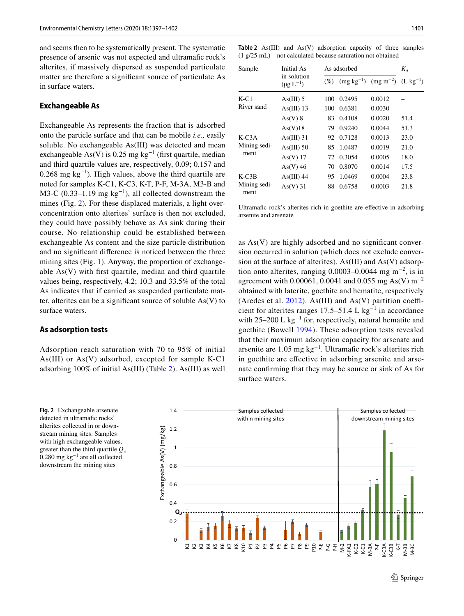and seems then to be systematically present. The systematic presence of arsenic was not expected and ultramafc rock's alterites, if massively dispersed as suspended particulate matter are therefore a signifcant source of particulate As in surface waters.

#### **Exchangeable As**

Exchangeable As represents the fraction that is adsorbed onto the particle surface and that can be mobile *i.e.,* easily soluble. No exchangeable As(III) was detected and mean exchangeable As(V) is 0.25 mg kg<sup>-1</sup> (first quartile, median and third quartile values are, respectively, 0.09; 0.157 and 0.268 mg kg<sup>-1</sup>). High values, above the third quartile are noted for samples K-C1, K-C3, K-T, P-F, M-3A, M3-B and M3-C (0.33–1.19 mg kg<sup>-1</sup>), all collected downstream the mines (Fig. [2\)](#page-4-0). For these displaced materials, a light overconcentration onto alterites' surface is then not excluded, they could have possibly behave as As sink during their course. No relationship could be established between exchangeable As content and the size particle distribution and no signifcant diference is noticed between the three mining sites (Fig. [1](#page-1-0)). Anyway, the proportion of exchangeable As(V) with frst quartile, median and third quartile values being, respectively, 4.2; 10.3 and 33.5% of the total As indicates that if carried as suspended particulate matter, alterites can be a significant source of soluble  $As(V)$  to surface waters.

### **As adsorption tests**

Adsorption reach saturation with 70 to 95% of initial As(III) or As(V) adsorbed, excepted for sample K-C1 adsorbing 100% of initial As(III) (Table [2](#page-4-1)). As(III) as well

<span id="page-4-1"></span>**Table 2** As(III) and As(V) adsorption capacity of three samples (1 g/25 mL)—not calculated because saturation not obtained

| Sample                          | Initial As                      |        | As adsorbed                  |        |                       |  |  |  |
|---------------------------------|---------------------------------|--------|------------------------------|--------|-----------------------|--|--|--|
|                                 | in solution<br>$(\mu g L^{-1})$ | $(\%)$ | $(mg kg^{-1})$ $(mg m^{-2})$ |        | $(L \text{ kg}^{-1})$ |  |  |  |
| K-C1<br>River sand              | $As(III)$ 5                     | 100    | 0.2495                       | 0.0012 |                       |  |  |  |
|                                 | $As(III)$ 13                    | 100    | 0.6381                       | 0.0030 |                       |  |  |  |
|                                 | $As(V)$ 8                       | 83     | 0.4108                       | 0.0020 | 51.4                  |  |  |  |
|                                 | As(V)18                         | 79     | 0.9240                       | 0.0044 | 51.3                  |  |  |  |
| $K-C3A$<br>Mining sedi-<br>ment | $As(III)$ 31                    | 92     | 0.7128                       | 0.0013 | 23.0                  |  |  |  |
|                                 | As(III) 50                      | 85     | 1.0487                       | 0.0019 | 21.0                  |  |  |  |
|                                 | $As(V)$ 17                      | 72     | 0.3054                       | 0.0005 | 18.0                  |  |  |  |
|                                 | $As(V)$ 46                      | 70     | 0.8070                       | 0.0014 | 17.5                  |  |  |  |
| $K-C3B$<br>Mining sedi-<br>ment | As(III) 44                      | 95     | 1.0469                       | 0.0004 | 23.8                  |  |  |  |
|                                 | $As(V)$ 31                      | 88     | 0.6758                       | 0.0003 | 21.8                  |  |  |  |

Ultramafic rock's alterites rich in goethite are effective in adsorbing arsenite and arsenate

as As(V) are highly adsorbed and no signifcant conversion occurred in solution (which does not exclude conversion at the surface of alterites). As(III) and As(V) adsorption onto alterites, ranging 0.0003–0.0044 mg m−2, is in agreement with 0.00061, 0.0041 and 0.055 mg As(V) m<sup>-2</sup> obtained with laterite, goethite and hematite, respectively (Aredes et al.  $2012$ ). As(III) and As(V) partition coefficient for alterites ranges 17.5–51.4 L kg−1 in accordance with 25–200 L kg<sup>-1</sup> for, respectively, natural hematite and goethite (Bowell [1994](#page-5-17)). These adsorption tests revealed that their maximum adsorption capacity for arsenate and arsenite are  $1.05$  mg kg<sup>-1</sup>. Ultramafic rock's alterites rich in goethite are efective in adsorbing arsenite and arsenate confrming that they may be source or sink of As for surface waters.

<span id="page-4-0"></span>**Fig. 2** Exchangeable arsenate detected in ultramafic rocks' alterites collected in or downstream mining sites. Samples with high exchangeable values, greater than the third quartile  $Q_3$ 0.280 mg kg−1 are all collected downstream the mining sites